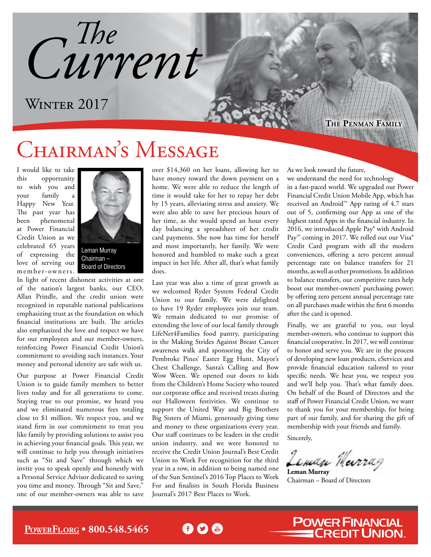*Current The*

### WINTER 2017

**The Penman Family**

## CHAIRMAN'S MESSAGE

I would like to take this opportunity to wish you and your family a Happy New Year. The past year has been phenomenal at Power Financial Credit Union as we celebrated 65 years of expressing the love of serving our m e m b e r - owners.



Leman Murray Chairman – Board of Directors

In light of recent dishonest activities at one of the nation's largest banks, our CEO, Allan Prindle, and the credit union were recognized in reputable national publications emphasizing trust as the foundation on which financial institutions are built. The articles also emphasized the love and respect we have for our employees and our member-owners, reinforcing Power Financial Credit Union's commitment to avoiding such instances. Your money and personal identity are safe with us.

Our purpose at Power Financial Credit Union is to guide family members to better lives today and for all generations to come. Staying true to our promise, we heard you and we eliminated numerous fees totaling close to \$1 million. We respect you, and we stand firm in our commitment to treat you like family by providing solutions to assist you in achieving your financial goals. This year, we will continue to help you through initiatives such as "Sit and Save" through which we invite you to speak openly and honestly with a Personal Service Advisor dedicated to saving you time and money. Through "Sit and Save," one of our member-owners was able to save over \$14,360 on her loans, allowing her to have money toward the down payment on a home. We were able to reduce the length of time it would take for her to repay her debt by 15 years, alleviating stress and anxiety. We were also able to save her precious hours of her time, as she would spend an hour every day balancing a spreadsheet of her credit card payments. She now has time for herself and most importantly, her family. We were honored and humbled to make such a great impact in her life. After all, that's what family does.

Last year was also a time of great growth as we welcomed Ryder System Federal Credit Union to our family. We were delighted to have 19 Ryder employees join our team. We remain dedicated to our promise of extending the love of our local family through LifeNet4Families food pantry, participating in the Making Strides Against Breast Cancer awareness walk and sponsoring the City of Pembroke Pines' Easter Egg Hunt, Mayor's Chest Challenge, Santa's Calling and Bow Wow Ween. We opened our doors to kids from the Children's Home Society who toured our corporate office and received treats during our Halloween festivities. We continue to support the United Way and Big Brothers Big Sisters of Miami, generously giving time and money to these organizations every year. Our staff continues to be leaders in the credit union industry, and we were honored to receive the Credit Union Journal's Best Credit Union to Work For recognition for the third year in a row, in addition to being named one of the Sun Sentinel's 2016 Top Places to Work For and finalists in South Florida Business Journal's 2017 Best Places to Work.

60 C

we understand the need for technology in a fast-paced world. We upgraded our Power Financial Credit Union Mobile App, which has received an Android™ App rating of 4.7 stars out of 5, confirming our App as one of the highest rated Apps in the financial industry. In 2016, we introduced Apple Pay® with Android Pay<sup>™</sup> coming in 2017. We rolled out our Visa® Credit Card program with all the modern conveniences, offering a zero percent annual percentage rate on balance transfers for 21

As we look toward the future,

months, as well as other promotions. In addition to balance transfers, our competitive rates help boost our member-owners' purchasing power; by offering zero percent annual percentage rate on all purchases made within the first 6 months after the card is opened.

Finally, we are grateful to you, our loyal member-owners, who continue to support this financial cooperative. In 2017, we will continue to honor and serve you. We are in the process of developing new loan products, eServices and provide financial education tailored to your specific needs. We hear you, we respect you and we'll help you. That's what family does. On behalf of the Board of Directors and the staff of Power Financial Credit Union, we want to thank you for your membership, for being part of our family, and for sharing the gift of membership with your friends and family.

Sincerely,

**Leman Murray**

Chairman – Board of Directors

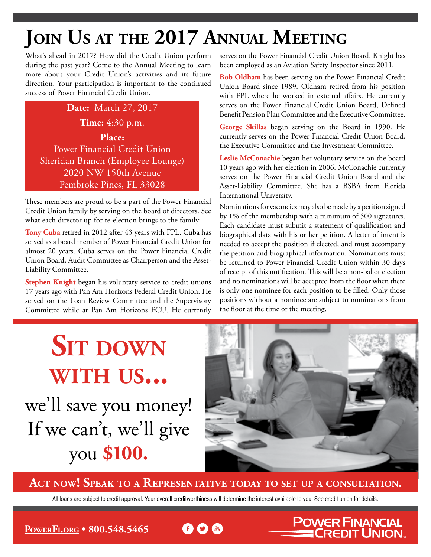## **Join Us at the 2017 Annual Meeting**

What's ahead in 2017? How did the Credit Union perform during the past year? Come to the Annual Meeting to learn more about your Credit Union's activities and its future direction. Your participation is important to the continued success of Power Financial Credit Union.

#### **Date:** March 27, 2017 **Time:** 4:30 p.m. **Place:** Power Financial Credit Union Sheridan Branch (Employee Lounge) 2020 NW 150th Avenue Pembroke Pines, FL 33028

These members are proud to be a part of the Power Financial Credit Union family by serving on the board of directors. See what each director up for re-election brings to the family:

**Tony Cuba** retired in 2012 after 43 years with FPL. Cuba has served as a board member of Power Financial Credit Union for almost 20 years. Cuba serves on the Power Financial Credit Union Board, Audit Committee as Chairperson and the Asset-Liability Committee.

**Stephen Knight** began his voluntary service to credit unions 17 years ago with Pan Am Horizons Federal Credit Union. He served on the Loan Review Committee and the Supervisory Committee while at Pan Am Horizons FCU. He currently serves on the Power Financial Credit Union Board. Knight has been employed as an Aviation Safety Inspector since 2011.

**Bob Oldham** has been serving on the Power Financial Credit Union Board since 1989. Oldham retired from his position with FPL where he worked in external affairs. He currently serves on the Power Financial Credit Union Board, Defined Benefit Pension Plan Committee and the Executive Committee.

**George Skillas** began serving on the Board in 1990. He currently serves on the Power Financial Credit Union Board, the Executive Committee and the Investment Committee.

**Leslie McConachie** began her voluntary service on the board 10 years ago with her election in 2006. McConachie currently serves on the Power Financial Credit Union Board and the Asset-Liability Committee. She has a BSBA from Florida International University.

Nominations for vacancies may also be made by a petition signed by 1% of the membership with a minimum of 500 signatures. Each candidate must submit a statement of qualification and biographical data with his or her petition. A letter of intent is needed to accept the position if elected, and must accompany the petition and biographical information. Nominations must be returned to Power Financial Credit Union within 30 days of receipt of this notification. This will be a non-ballot election and no nominations will be accepted from the floor when there is only one nominee for each position to be filled. Only those positions without a nominee are subject to nominations from the floor at the time of the meeting.

# we'll save you money! If we can't, we'll give you **\$100. SIT DOWN with us...**



**POWER FINANCIAL** 

**CREDIT UNION.** 

**Act now! Speak to a Representative today to set up a consultation.**

All loans are subject to credit approval. Your overall creditworthiness will determine the interest available to you. See credit union for details.

**PowerF[i.org](http://PowerFi.org) • 800.548.5465**

**f D M**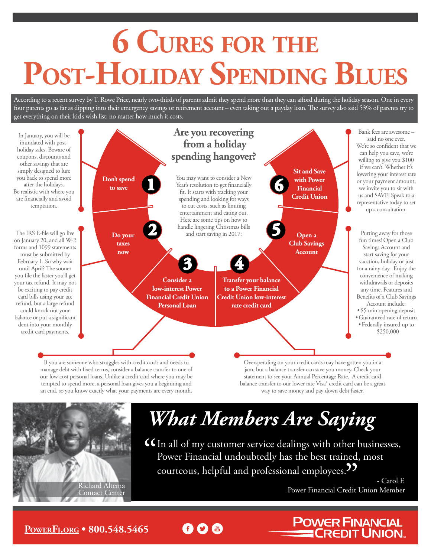# **6 Cures for the Post-Holiday Spending Blues**

According to a recent survey by T. Rowe Price, nearly two-thirds of parents admit they spend more than they can afford during the holiday season. One in every four parents go as far as dipping into their emergency savings or retirement account – even taking out a payday loan. The survey also said 53% of parents try to get everything on their kid's wish list, no matter how much it costs.



60 m

If you are someone who struggles with credit cards and needs to manage debt with fixed terms, consider a balance transfer to one of our low-cost personal loans. Unlike a credit card where you may be tempted to spend more, a personal loan gives you a beginning and an end, so you know exactly what your payments are every month.

Overspending on your credit cards may have gotten you in a jam, but a balance transfer can save you money. Check your statement to see your Annual Percentage Rate. A credit card balance transfer to our lower rate Visa® credit card can be a great way to save money and pay down debt faster.



# *What Members Are Saying*

 $G$  In all of my customer service dealings with other businesses, Power Financial undoubtedly has the best trained, most courteous, helpful and professional employees.<sup>99</sup>

- Carol F. Power Financial Credit Union Member Richard Altema

**POWER FINANCIAL<br>Example CREDIT UNION.** 

#### **PowerF[i.org](http://PowerFi.org) • 800.548.5465**